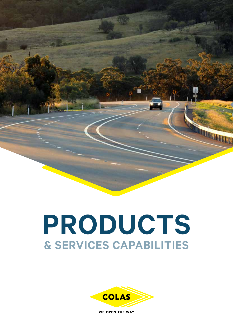# **PRODUCTS & SERVICES CAPABILITIES**

**REAL PROPERTY** 



**WE OPEN THE WAY**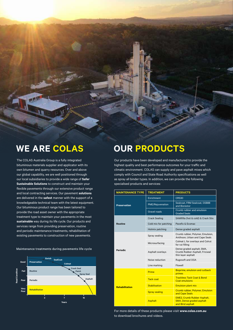### **WE ARE COLAS**

The COLAS Australia Group is a fully integrated bituminous materials supplier and applicator with its own bitumen and quarry resources. Over and above our global capability, we are well positioned through our local subsidiaries to provide a wide range of **Safer Sustainable Solutions** to construct and maintain your flexible pavements through our extensive product range and local contracting services. Our pavement **solutions** are delivered in the **safest** manner with the support of a knowledgeable technical team with the latest equipment. Our bituminous product range has been tailored to provide the road asset owner with the appropriate treatment type to maintain your pavements in the most **sustainable** way during its life cycle. Our products and services range from providing preservation, routine and periodic maintenance treatments, rehabilitation of existing pavements to construction of new pavements.

Maintenance treatments during pavements life cycle



### **OUR PRODUCTS**

Our products have been developed and manufactured to provide the highest quality and best performance outcomes for your traffic and climatic environment. COLAS can supply and pave asphalt mixes which comply with Council and State Road Authority specifications as well as spray all binder types. In addition, we can provide the following specialised products and services:

| <b>MAINTENANCE TYPE</b> | <b>TREATMENT</b>        | <b>PRODUCTS</b>                                                                             |
|-------------------------|-------------------------|---------------------------------------------------------------------------------------------|
| <b>Preservation</b>     | Enrichment              | <b>CRS30</b>                                                                                |
|                         | <b>PME/Rejuvenation</b> | Sealcoat, FRM Sealcoat, GSB88<br>and Biorestor                                              |
|                         | Gravel roads            | Crumb rubber and emulsion<br><b>Graded Seals</b>                                            |
| Routine                 | <b>Crack Sealing</b>    | SAMIfilla (hot & cold) & Crack Stix                                                         |
|                         | Cold mix for patching   | Pavefix & Ecomac                                                                            |
|                         | Hotmix patching         | Dense graded asphalt                                                                        |
| Periodic                | Spray sealing           | Crumb rubber, Polymer, Emulsion,<br>Antihoon, Urban and Cape Seals                          |
|                         | Microsurfacing          | Colmat L for overlays and Colrut<br>for rut filling                                         |
|                         | Asphalt overlays        | Dense graded asphalt, SMA,<br>Crumb Rubber Asphalt, Fricseal<br>thin layer asphalt          |
|                         | Noise reduction         | Rugosoft and OGA                                                                            |
|                         | Line marking            | Flowell                                                                                     |
| <b>Rehabilitation</b>   | Prime                   | <b>Bioprime, emulsion and cutback</b><br>primes                                             |
|                         | <b>Tack coat</b>        | <b>Trackless Tack Coat &amp; Bond</b><br><b>Coat emulsions</b>                              |
|                         | <b>Stabilisation</b>    | <b>Emulsion plant mix</b>                                                                   |
|                         | <b>Spray sealing</b>    | Crumb rubber, Polymer, Emulsion<br>and Cape Seals                                           |
|                         | <b>Asphalt</b>          | <b>EME2, Crumb Rubber Asphalt,</b><br><b>SMA, Dense graded asphalt</b><br>and IBrid asphalt |

For more details of these products please visit **www.colas.com.au**  to download brochures and videos.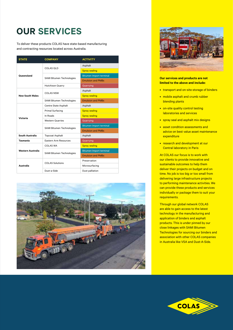## **OUR SERVICES**

To deliver these products COLAS have state-based manufacturing and contracting resources located across Australia.

| <b>STATE</b>           | <b>COMPANY</b>                   | <b>ACTIVITY</b>                |
|------------------------|----------------------------------|--------------------------------|
| Queensland             | COLAS OLD                        | Asphalt                        |
|                        |                                  | <b>Spray sealing</b>           |
|                        | SAMI Bitumen Technologies        | <b>Bitumen Import terminal</b> |
|                        |                                  | <b>Emulsion and PMBs</b>       |
|                        | <b>Hutchison Quarry</b>          | Quarrying                      |
| <b>New South Wales</b> | <b>COLAS NSW</b>                 | Asphalt                        |
|                        |                                  | <b>Spray sealing</b>           |
|                        | <b>SAMI Bitumen Technologies</b> | <b>Emulsion and PMBs</b>       |
| Victoria               | Centre State Asphalt             | Asphalt                        |
|                        | <b>Primal Surfacing</b>          | <b>Spray sealing</b>           |
|                        | In Roads                         | <b>Spray sealing</b>           |
|                        | <b>Western Quarries</b>          | Quarrying                      |
|                        | SAMI Bitumen Technologies        | Bitumen Import terminal        |
|                        |                                  | <b>Emulsion and PMBs</b>       |
| South Australia        | <b>Topcoat Asphalt</b>           | Asphalt                        |
| <b>Tasmania</b>        | Eastern Arm Resources            | Quarrying                      |
| Western Australia      | COLAS WA                         | <b>Spray sealing</b>           |
|                        | SAMI Bitumen Technologies        | <b>Bitumen Import terminal</b> |
|                        |                                  | <b>Emulsion and PMBs</b>       |
| Australia              | <b>COLAS Solutions</b>           | Preservation                   |
|                        |                                  | Microsurfacing                 |
|                        | Dust-a-Side                      | Dust palliation                |





#### **Our services and products are not limited to the above and include:**

- transport and on-site storage of binders
- mobile asphalt and crumb rubber blending plants
- on-site quality control testing laboratories and services
- spray seal and asphalt mix designs
- asset condition assessments and advice on best value asset maintenance expenditure
- research and development at our Central laboratory in Paris

At COLAS our focus is to work with our clients to provide innovative and sustainable outcomes to help them deliver their projects on budget and on time. No job is too big or too small from delivering large infrastructure projects to performing maintenance activities. We can provide these products and services individually or package them to suit your requirements.

Through our global network COLAS are able to gain access to the latest technology in the manufacturing and application of binders and asphalt products. This is under pinned by our close linkages with SAMI Bitumen Technologies for sourcing our binders and association with other COLAS companies in Australia like VSA and Dust-A-Side.